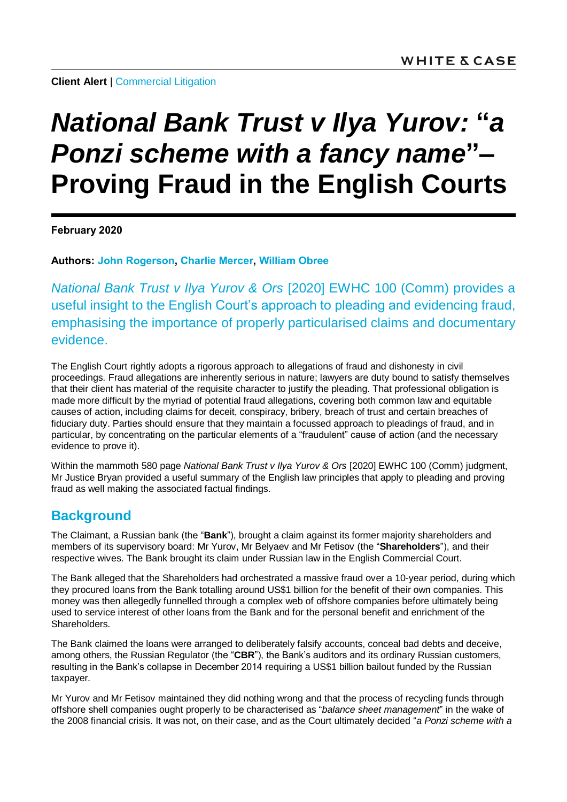**Client Alert | [Commercial Litigation](https://www.whitecase.com/law/practices/commercial-litigation)** 

# *National Bank Trust v Ilya Yurov:* **"***a Ponzi scheme with a fancy name***"– Proving Fraud in the English Courts**

**February 2020**

**Authors: [John Rogerson,](https://www.whitecase.com/people/john-rogerson) [Charlie Mercer,](https://www.whitecase.com/people/charlie-mercer) [William Obree](https://www.whitecase.com/people/william-obree)**

*National Bank Trust v Ilya Yurov & Ors* [2020] EWHC 100 (Comm) provides a useful insight to the English Court's approach to pleading and evidencing fraud, emphasising the importance of properly particularised claims and documentary evidence.

The English Court rightly adopts a rigorous approach to allegations of fraud and dishonesty in civil proceedings. Fraud allegations are inherently serious in nature; lawyers are duty bound to satisfy themselves that their client has material of the requisite character to justify the pleading. That professional obligation is made more difficult by the myriad of potential fraud allegations, covering both common law and equitable causes of action, including claims for deceit, conspiracy, bribery, breach of trust and certain breaches of fiduciary duty. Parties should ensure that they maintain a focussed approach to pleadings of fraud, and in particular, by concentrating on the particular elements of a "fraudulent" cause of action (and the necessary evidence to prove it).

Within the mammoth 580 page *National Bank Trust v Ilya Yurov & Ors* [2020] EWHC 100 (Comm) judgment, Mr Justice Bryan provided a useful summary of the English law principles that apply to pleading and proving fraud as well making the associated factual findings.

## **Background**

The Claimant, a Russian bank (the "**Bank**"), brought a claim against its former majority shareholders and members of its supervisory board: Mr Yurov, Mr Belyaev and Mr Fetisov (the "**Shareholders**"), and their respective wives. The Bank brought its claim under Russian law in the English Commercial Court.

The Bank alleged that the Shareholders had orchestrated a massive fraud over a 10-year period, during which they procured loans from the Bank totalling around US\$1 billion for the benefit of their own companies. This money was then allegedly funnelled through a complex web of offshore companies before ultimately being used to service interest of other loans from the Bank and for the personal benefit and enrichment of the Shareholders.

The Bank claimed the loans were arranged to deliberately falsify accounts, conceal bad debts and deceive, among others, the Russian Regulator (the "**CBR**"), the Bank's auditors and its ordinary Russian customers, resulting in the Bank's collapse in December 2014 requiring a US\$1 billion bailout funded by the Russian taxpayer.

Mr Yurov and Mr Fetisov maintained they did nothing wrong and that the process of recycling funds through offshore shell companies ought properly to be characterised as "*balance sheet management*" in the wake of the 2008 financial crisis. It was not, on their case, and as the Court ultimately decided "*a Ponzi scheme with a*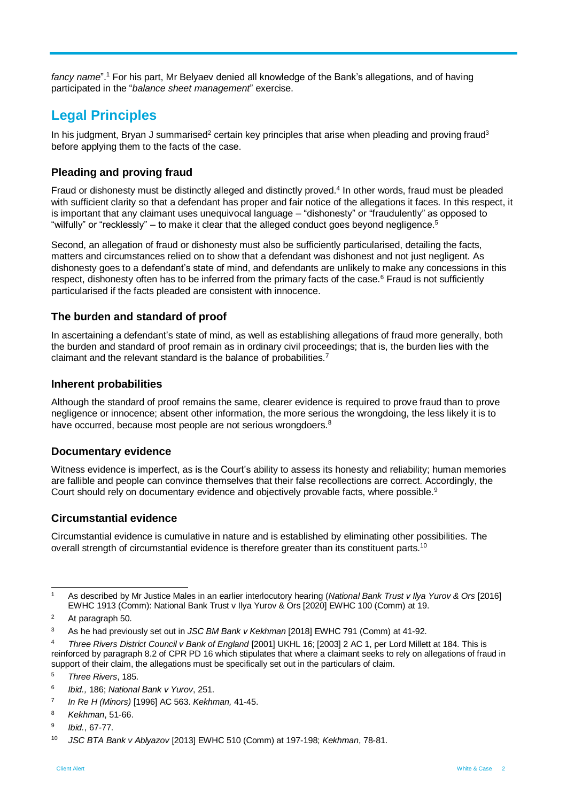*fancy name*". <sup>1</sup> For his part, Mr Belyaev denied all knowledge of the Bank's allegations, and of having participated in the "*balance sheet management*" exercise.

## **Legal Principles**

In his judgment, Bryan J summarised<sup>2</sup> certain key principles that arise when pleading and proving fraud<sup>3</sup> before applying them to the facts of the case.

#### **Pleading and proving fraud**

Fraud or dishonesty must be distinctly alleged and distinctly proved.<sup>4</sup> In other words, fraud must be pleaded with sufficient clarity so that a defendant has proper and fair notice of the allegations it faces. In this respect, it is important that any claimant uses unequivocal language – "dishonesty" or "fraudulently" as opposed to "wilfully" or "recklessly" – to make it clear that the alleged conduct goes beyond negligence.<sup>5</sup>

Second, an allegation of fraud or dishonesty must also be sufficiently particularised, detailing the facts, matters and circumstances relied on to show that a defendant was dishonest and not just negligent. As dishonesty goes to a defendant's state of mind, and defendants are unlikely to make any concessions in this respect, dishonesty often has to be inferred from the primary facts of the case.<sup>6</sup> Fraud is not sufficiently particularised if the facts pleaded are consistent with innocence.

#### **The burden and standard of proof**

In ascertaining a defendant's state of mind, as well as establishing allegations of fraud more generally, both the burden and standard of proof remain as in ordinary civil proceedings; that is, the burden lies with the claimant and the relevant standard is the balance of probabilities.<sup>7</sup>

#### **Inherent probabilities**

Although the standard of proof remains the same, clearer evidence is required to prove fraud than to prove negligence or innocence; absent other information, the more serious the wrongdoing, the less likely it is to have occurred, because most people are not serious wrongdoers.<sup>8</sup>

#### **Documentary evidence**

Witness evidence is imperfect, as is the Court's ability to assess its honesty and reliability; human memories are fallible and people can convince themselves that their false recollections are correct. Accordingly, the Court should rely on documentary evidence and objectively provable facts, where possible.<sup>9</sup>

#### **Circumstantial evidence**

Circumstantial evidence is cumulative in nature and is established by eliminating other possibilities. The overall strength of circumstantial evidence is therefore greater than its constituent parts.<sup>10</sup>

l <sup>1</sup> As described by Mr Justice Males in an earlier interlocutory hearing (*National Bank Trust v Ilya Yurov & Ors* [2016] EWHC 1913 (Comm): National Bank Trust v Ilya Yurov & Ors [2020] EWHC 100 (Comm) at 19.

<sup>2</sup> At paragraph 50.

<sup>3</sup> As he had previously set out in *JSC BM Bank v Kekhman* [2018] EWHC 791 (Comm) at 41-92.

<sup>4</sup> *Three Rivers District Council v Bank of England* [2001] UKHL 16; [2003] 2 AC 1, per Lord Millett at 184. This is reinforced by paragraph 8.2 of CPR PD 16 which stipulates that where a claimant seeks to rely on allegations of fraud in support of their claim, the allegations must be specifically set out in the particulars of claim.

<sup>5</sup> *Three Rivers*, 185.

<sup>6</sup> *Ibid.,* 186; *National Bank v Yurov*, 251.

<sup>7</sup> *In Re H (Minors)* [1996] AC 563. *Kekhman,* 41-45.

<sup>8</sup> *Kekhman*, 51-66.

 $\mathbf{a}$ *Ibid.*, 67-77.

<sup>10</sup> *JSC BTA Bank v Ablyazov* [2013] EWHC 510 (Comm) at 197-198; *Kekhman*, 78-81.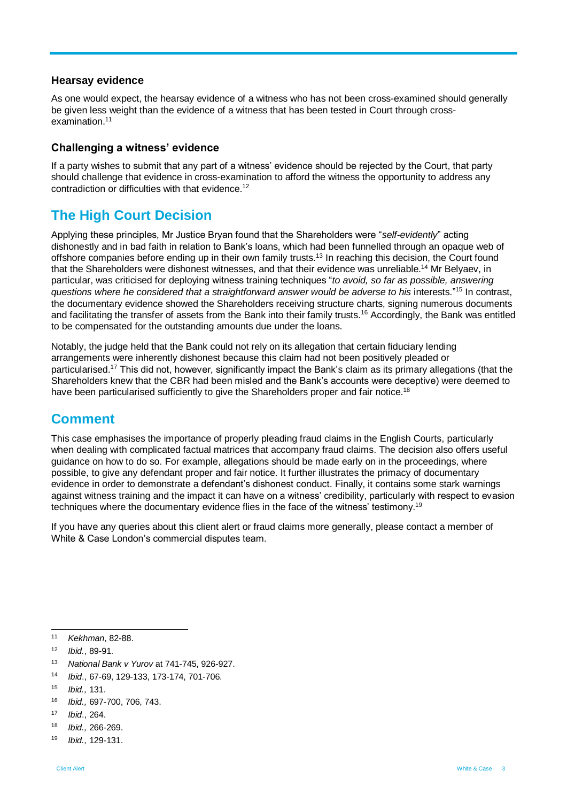#### **Hearsay evidence**

As one would expect, the hearsay evidence of a witness who has not been cross-examined should generally be given less weight than the evidence of a witness that has been tested in Court through crossexamination.<sup>11</sup>

#### **Challenging a witness' evidence**

If a party wishes to submit that any part of a witness' evidence should be rejected by the Court, that party should challenge that evidence in cross-examination to afford the witness the opportunity to address any contradiction or difficulties with that evidence.<sup>12</sup>

## **The High Court Decision**

Applying these principles, Mr Justice Bryan found that the Shareholders were "*self-evidently*" acting dishonestly and in bad faith in relation to Bank's loans, which had been funnelled through an opaque web of offshore companies before ending up in their own family trusts.<sup>13</sup> In reaching this decision, the Court found that the Shareholders were dishonest witnesses, and that their evidence was unreliable.<sup>14</sup> Mr Belyaev, in particular, was criticised for deploying witness training techniques "*to avoid, so far as possible, answering questions where he considered that a straightforward answer would be adverse to his* interests."<sup>15</sup> In contrast, the documentary evidence showed the Shareholders receiving structure charts, signing numerous documents and facilitating the transfer of assets from the Bank into their family trusts. <sup>16</sup> Accordingly, the Bank was entitled to be compensated for the outstanding amounts due under the loans.

Notably, the judge held that the Bank could not rely on its allegation that certain fiduciary lending arrangements were inherently dishonest because this claim had not been positively pleaded or particularised.<sup>17</sup> This did not, however, significantly impact the Bank's claim as its primary allegations (that the Shareholders knew that the CBR had been misled and the Bank's accounts were deceptive) were deemed to have been particularised sufficiently to give the Shareholders proper and fair notice.<sup>18</sup>

### **Comment**

This case emphasises the importance of properly pleading fraud claims in the English Courts, particularly when dealing with complicated factual matrices that accompany fraud claims. The decision also offers useful guidance on how to do so. For example, allegations should be made early on in the proceedings, where possible, to give any defendant proper and fair notice. It further illustrates the primacy of documentary evidence in order to demonstrate a defendant's dishonest conduct. Finally, it contains some stark warnings against witness training and the impact it can have on a witness' credibility, particularly with respect to evasion techniques where the documentary evidence flies in the face of the witness' testimony.<sup>19</sup>

If you have any queries about this client alert or fraud claims more generally, please contact a member of White & Case London's commercial disputes team.

- <sup>13</sup> *National Bank v Yurov* at 741-745, 926-927.
- <sup>14</sup> *Ibid*., 67-69, 129-133, 173-174, 701-706.
- <sup>15</sup> *Ibid.,* 131.
- <sup>16</sup> *Ibid.,* 697-700, 706, 743.
- <sup>17</sup> *Ibid*., 264.
- <sup>18</sup> *Ibid.,* 266-269.
- <sup>19</sup> *Ibid.,* 129-131.

 $11$ <sup>11</sup> *Kekhman*, 82-88.

<sup>12</sup> *Ibid.*, 89-91.